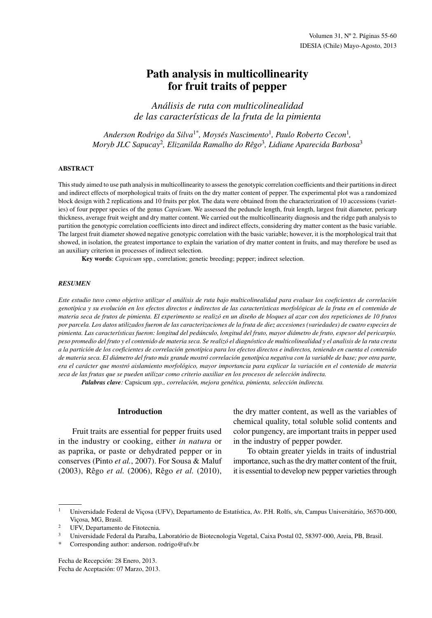# **Path analysis in multicollinearity for fruit traits of pepper**

*Análisis de ruta con multicolinealidad de las características de la fruta de la pimienta*

*Anderson Rodrigo da Silva*1\**, Moysés Nascimento*<sup>1</sup>*, Paulo Roberto Cecon*<sup>1</sup>*, Moryb JLC Sapucay*<sup>2</sup>*, Elizanilda Ramalho do Rêgo*<sup>3</sup>*, Lidiane Aparecida Barbosa*<sup>3</sup>

#### **ABSTRACT**

This study aimed to use path analysis in multicollinearity to assess the genotypic correlation coefficients and their partitions in direct and indirect effects of morphological traits of fruits on the dry matter content of pepper. The experimental plot was a randomized block design with 2 replications and 10 fruits per plot. The data were obtained from the characterization of 10 accessions (varieties) of four pepper species of the genus *Capsicum*. We assessed the peduncle length, fruit length, largest fruit diameter, pericarp thickness, average fruit weight and dry matter content. We carried out the multicollinearity diagnosis and the ridge path analysis to partition the genotypic correlation coefficients into direct and indirect effects, considering dry matter content as the basic variable. The largest fruit diameter showed negative genotypic correlation with the basic variable; however, it is the morphological trait that showed, in isolation, the greatest importance to explain the variation of dry matter content in fruits, and may therefore be used as an auxiliary criterion in processes of indirect selection.

**Key words**: *Capsicum* spp., correlation; genetic breeding; pepper; indirect selection.

#### *RESUMEN*

*Este estudio tuvo como objetivo utilizar el análisis de ruta bajo multicolinealidad para evaluar los coeficientes de correlación genotípica y su evolución en los efectos directos e indirectos de las características morfológicas de la fruta en el contenido de materia seca de frutos de pimienta. El experimento se realizó en un diseño de bloques al azar con dos repeticiones de 10 frutos por parcela. Los datos utilizados fueron de las caracterizaciones de la fruta de diez accesiones (variedades) de cuatro especies de pimienta. Las características fueron: longitud del pedúnculo, longitud del fruto, mayor diámetro de fruto, espesor del pericarpio, peso promedio del fruto y el contenido de materia seca. Se realizó el diagnóstico de multicolinealidad y el analisis de la ruta cresta a la partición de los coeficientes de correlación genotípica para los efectos directos e indirectos, teniendo en cuenta el contenido de materia seca. El diámetro del fruto más grande mostró correlación genotípica negativa con la variable de base; por otra parte, era el carácter que mostró aislamiento morfológico, mayor importancia para explicar la variación en el contenido de materia seca de las frutas que se pueden utilizar como criterio auxiliar en los procesos de selección indirecta.*

*Palabras clave:* Capsicum *spp., correlación, mejora genética, pimienta, selección indirecta.*

#### **Introduction**

Fruit traits are essential for pepper fruits used in the industry or cooking, either *in natura* or as paprika, or paste or dehydrated pepper or in conserves (Pinto *et al.*, 2007). For Sousa & Maluf (2003), Rêgo *et al.* (2006), Rêgo *et al.* (2010), the dry matter content, as well as the variables of chemical quality, total soluble solid contents and color pungency, are important traits in pepper used in the industry of pepper powder.

To obtain greater yields in traits of industrial importance, such as the dry matter content of the fruit, it is essential to develop new pepper varieties through

Fecha de Recepción: 28 Enero, 2013. Fecha de Aceptación: 07 Marzo, 2013.

<sup>1</sup> Universidade Federal de Viçosa (UFV), Departamento de Estatística, Av. P.H. Rolfs, s/n, Campus Universitário, 36570-000, Viçosa, MG, Brasil.

<sup>2</sup> UFV, Departamento de Fitotecnia.

<sup>3</sup> Universidade Federal da Paraíba, Laboratório de Biotecnologia Vegetal, Caixa Postal 02, 58397-000, Areia, PB, Brasil.

Corresponding author: anderson. rodrigo@ufv.br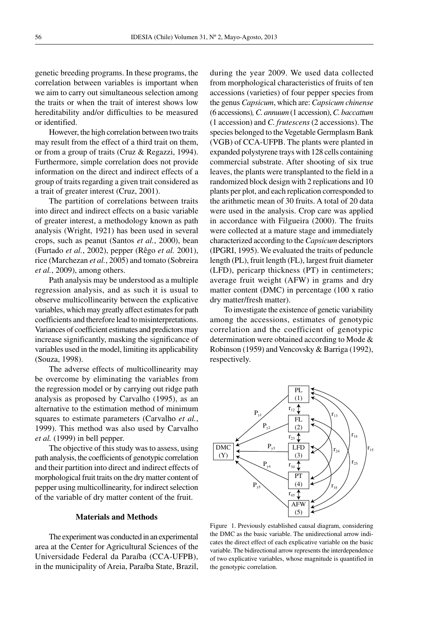genetic breeding programs. In these programs, the correlation between variables is important when we aim to carry out simultaneous selection among the traits or when the trait of interest shows low hereditability and/or difficulties to be measured or identified.

However, the high correlation between two traits may result from the effect of a third trait on them, or from a group of traits (Cruz & Regazzi, 1994). Furthermore, simple correlation does not provide information on the direct and indirect effects of a group of traits regarding a given trait considered as a trait of greater interest (Cruz, 2001).

The partition of correlations between traits into direct and indirect effects on a basic variable of greater interest, a methodology known as path analysis (Wright, 1921) has been used in several crops, such as peanut (Santos *et al.*, 2000), bean (Furtado *et al.*, 2002), pepper (Rêgo *et al.* 2001), rice (Marchezan *et al.*, 2005) and tomato (Sobreira *et al.*, 2009), among others.

Path analysis may be understood as a multiple regression analysis, and as such it is usual to observe multicollinearity between the explicative variables, which may greatly affect estimates for path coefficients and therefore lead to misinterpretations. Variances of coefficient estimates and predictors may increase significantly, masking the significance of variables used in the model, limiting its applicability (Souza, 1998).

The adverse effects of multicollinearity may be overcome by eliminating the variables from the regression model or by carrying out ridge path analysis as proposed by Carvalho (1995), as an alternative to the estimation method of minimum squares to estimate parameters (Carvalho *et al.*, 1999). This method was also used by Carvalho *et al.* (1999) in bell pepper.

The objective of this study was to assess, using path analysis, the coefficients of genotypic correlation and their partition into direct and indirect effects of morphological fruit traits on the dry matter content of pepper using multicollinearity, for indirect selection of the variable of dry matter content of the fruit.

#### **Materials and Methods**

The experiment was conducted in an experimental area at the Center for Agricultural Sciences of the Universidade Federal da Paraíba (CCA-UFPB), in the municipality of Areia, Paraíba State, Brazil,

during the year 2009. We used data collected from morphological characteristics of fruits of ten accessions (varieties) of four pepper species from the genus *Capsicum*, which are: *Capsicum chinense* (6 accessions)*, C. annuum* (1 accession), *C. baccattum* (1 accession) and *C. frutescens* (2 accessions). The species belonged to the Vegetable Germplasm Bank (VGB) of CCA-UFPB. The plants were planted in expanded polystyrene trays with 128 cells containing commercial substrate. After shooting of six true leaves, the plants were transplanted to the field in a randomized block design with 2 replications and 10 plants per plot, and each replication corresponded to the arithmetic mean of 30 fruits. A total of 20 data were used in the analysis. Crop care was applied in accordance with Filgueira (2000). The fruits were collected at a mature stage and immediately characterized according to the *Capsicum* descriptors (IPGRI, 1995). We evaluated the traits of peduncle length (PL), fruit length (FL), largest fruit diameter (LFD), pericarp thickness (PT) in centimeters; average fruit weight (AFW) in grams and dry matter content (DMC) in percentage (100 x ratio dry matter/fresh matter).

To investigate the existence of genetic variability among the accessions, estimates of genotypic correlation and the coefficient of genotypic determination were obtained according to Mode & Robinson (1959) and Vencovsky & Barriga (1992), respectively.



Figure 1. Previously established causal diagram, considering the DMC as the basic variable. The unidirectional arrow indicates the direct effect of each explicative variable on the basic variable. The bidirectional arrow represents the interdependence of two explicative variables, whose magnitude is quantified in the genotypic correlation.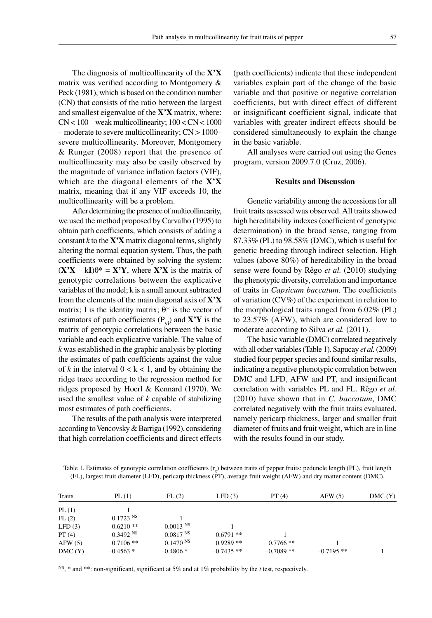The diagnosis of multicollinearity of the **X'X** matrix was verified according to Montgomery & Peck (1981), which is based on the condition number (CN) that consists of the ratio between the largest and smallest eigenvalue of the **X'X** matrix, where: CN < 100 – weak multicollinearity; 100 < CN < 1000 – moderate to severe multicollinearity; CN > 1000– severe multicollinearity. Moreover, Montgomery & Runger (2008) report that the presence of multicollinearity may also be easily observed by the magnitude of variance inflation factors (VIF), which are the diagonal elements of the **X'X** matrix, meaning that if any VIF exceeds 10, the multicollinearity will be a problem.

After determining the presence of multicollinearity, we used the method proposed by Carvalho (1995) to obtain path coefficients, which consists of adding a constant  $k$  to the  $\mathbf{X}'\mathbf{X}$  matrix diagonal terms, slightly altering the normal equation system. Thus, the path coefficients were obtained by solving the system:  $(X'X - kI)\theta^* = X'Y$ , where  $X'X$  is the matrix of genotypic correlations between the explicative variables of the model; k is a small amount subtracted from the elements of the main diagonal axis of **X'X** matrix; I is the identity matrix;  $\theta^*$  is the vector of estimators of path coefficients  $(P_{vi})$  and  $X'Y$  is the matrix of genotypic correlations between the basic variable and each explicative variable. The value of *k* was established in the graphic analysis by plotting the estimates of path coefficients against the value of  $k$  in the interval  $0 < k < 1$ , and by obtaining the ridge trace according to the regression method for ridges proposed by Hoerl & Kennard (1970). We used the smallest value of *k* capable of stabilizing most estimates of path coefficients.

The results of the path analysis were interpreted according to Vencovsky & Barriga (1992), considering that high correlation coefficients and direct effects (path coefficients) indicate that these independent variables explain part of the change of the basic variable and that positive or negative correlation coefficients, but with direct effect of different or insignificant coefficient signal, indicate that variables with greater indirect effects should be considered simultaneously to explain the change in the basic variable.

All analyses were carried out using the Genes program, version 2009.7.0 (Cruz, 2006).

### **Results and Discussion**

Genetic variability among the accessions for all fruit traits assessed was observed. All traits showed high hereditability indexes (coefficient of genotypic determination) in the broad sense, ranging from 87.33% (PL) to 98.58% (DMC), which is useful for genetic breeding through indirect selection. High values (above 80%) of hereditability in the broad sense were found by Rêgo *et al.* (2010) studying the phenotypic diversity, correlation and importance of traits in *Capsicum baccatum*. The coefficients of variation (CV%) of the experiment in relation to the morphological traits ranged from 6.02% (PL) to 23.57% (AFW), which are considered low to moderate according to Silva *et al.* (2011).

The basic variable (DMC) correlated negatively with all other variables (Table 1). Sapucay *et al.* (2009) studied four pepper species and found similar results, indicating a negative phenotypic correlation between DMC and LFD, AFW and PT, and insignificant correlation with variables PL and FL. Rêgo *et al.* (2010) have shown that in *C. baccatum*, DMC correlated negatively with the fruit traits evaluated, namely pericarp thickness, larger and smaller fruit diameter of fruits and fruit weight, which are in line with the results found in our study.

Table 1. Estimates of genotypic correlation coefficients  $(r<sub>a</sub>)$  between traits of pepper fruits: peduncle length (PL), fruit length (FL), largest fruit diameter (LFD), pericarp thickness (PT), average fruit weight (AFW) and dry matter content (DMC).

| Traits | PL(1)       | FL(2)                  | LFD(3)      | PT(4)       | AFW(5)       | DMC(Y) |
|--------|-------------|------------------------|-------------|-------------|--------------|--------|
| PL(1)  |             |                        |             |             |              |        |
| FL(2)  | $0.1723$ NS |                        |             |             |              |        |
| LFD(3) | $0.6210**$  | $0.0013$ <sup>NS</sup> |             |             |              |        |
| PT(4)  | 0.3492 N    | 0.0817 <sup>NS</sup>   | $0.6791**$  |             |              |        |
| AFW(5) | $0.7106$ ** | 0.1470 N               | $0.9289**$  | $0.7766$ ** |              |        |
| DMC(Y) | $-0.4563*$  | $-0.4806*$             | $-0.7435**$ | $-0.7089**$ | $-0.7195$ ** |        |
|        |             |                        |             |             |              |        |

NS, \* and \*\*: non-significant, significant at 5% and at 1% probability by the *t* test, respectively.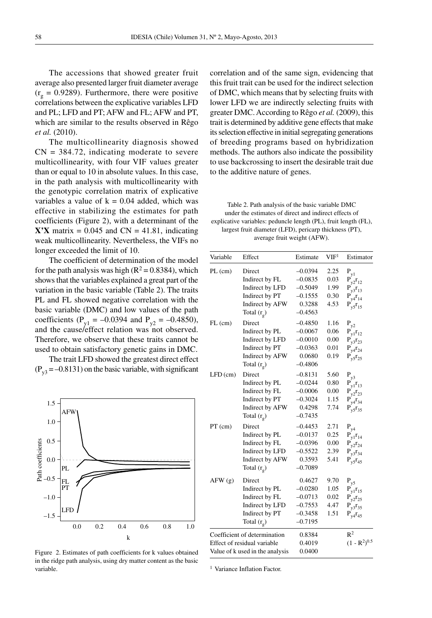The accessions that showed greater fruit average also presented larger fruit diameter average  $(r<sub>g</sub> = 0.9289)$ . Furthermore, there were positive correlations between the explicative variables LFD and PL; LFD and PT; AFW and FL; AFW and PT, which are similar to the results observed in Rêgo *et al.* (2010).

The multicollinearity diagnosis showed  $CN = 384.72$ , indicating moderate to severe multicollinearity, with four VIF values greater than or equal to 10 in absolute values. In this case, in the path analysis with multicollinearity with the genotypic correlation matrix of explicative variables a value of  $k = 0.04$  added, which was effective in stabilizing the estimates for path coefficients (Figure 2), with a determinant of the  $\mathbf{X'X}$  matrix = 0.045 and  $CN = 41.81$ , indicating weak multicollinearity. Nevertheless, the VIFs no longer exceeded the limit of 10.

The coefficient of determination of the model for the path analysis was high ( $R^2 = 0.8384$ ), which shows that the variables explained a great part of the variation in the basic variable (Table 2). The traits PL and FL showed negative correlation with the basic variable (DMC) and low values of the path coefficients ( $P_{v1} = -0.0394$  and  $P_{v2} = -0.4850$ ), and the cause/effect relation was not observed. Therefore, we observe that these traits cannot be used to obtain satisfactory genetic gains in DMC.

The trait LFD showed the greatest direct effect  $(P_{v3} = -0.8131)$  on the basic variable, with significant



Figure 2. Estimates of path coefficients for k values obtained in the ridge path analysis, using dry matter content as the basic variable.

correlation and of the same sign, evidencing that this fruit trait can be used for the indirect selection of DMC, which means that by selecting fruits with lower LFD we are indirectly selecting fruits with greater DMC. According to Rêgo *et al.* (2009), this trait is determined by additive gene effects that make its selection effective in initial segregating generations of breeding programs based on hybridization methods. The authors also indicate the possibility to use backcrossing to insert the desirable trait due to the additive nature of genes.

Table 2. Path analysis of the basic variable DMC under the estimates of direct and indirect effects of explicative variables: peduncle length (PL), fruit length (FL), largest fruit diameter (LFD), pericarp thickness (PT), average fruit weight (AFW).

| Variable   | Effect                          | Estimate  | VIF <sup>1</sup> | Estimator                             |
|------------|---------------------------------|-----------|------------------|---------------------------------------|
| $PL$ (cm)  | Direct                          | $-0.0394$ | 2.25             | P                                     |
|            | Indirect by FL                  | $-0.0835$ | 0.03             | P<br>$v_2$ <sup>r</sup> <sub>12</sub> |
|            | Indirect by LFD                 | $-0.5049$ | 1.99             | P<br>$v3r_{13}$                       |
|            | Indirect by PT                  | $-0.1555$ | 0.30             | $4r_{14}$                             |
|            | Indirect by AFW                 | 0.3288    | 4.53             | $v_5r_{15}$                           |
|            | Total $(r_{\rm g})$             | $-0.4563$ |                  |                                       |
| $FL$ (cm)  | Direct                          | $-0.4850$ | 1.16             | $P_{y2}$                              |
|            | Indirect by PL                  | $-0.0067$ | 0.06             | P<br>$y_1$ <sup>r</sup> <sub>12</sub> |
|            | Indirect by LFD                 | $-0.0010$ | 0.00             |                                       |
|            | Indirect by PT                  | $-0.0363$ | 0.01             |                                       |
|            | Indirect by AFW                 | 0.0680    | 0.19             | $P_{y5}r_{25}$                        |
|            | Total $(r_{\rm g})$             | $-0.4806$ |                  |                                       |
| $LFD$ (cm) | Direct                          | $-0.8131$ | 5.60             | $P_{y3}$                              |
|            | Indirect by PL                  | $-0.0244$ | 0.80             | $v_1$ <sup>r</sup> <sub>13</sub>      |
|            | Indirect by FL                  | $-0.0006$ | 0.00             | $v_2$ <sup>r</sup> <sub>23</sub>      |
|            | Indirect by PT                  | $-0.3024$ | 1.15             | $v4^2$ 34                             |
|            | Indirect by AFW                 | 0.4298    | 7.74             | $P_{y5}r_{35}$                        |
|            | Total $(r_g)$                   | $-0.7435$ |                  |                                       |
| $PT$ (cm)  | Direct                          | $-0.4453$ | 2.71             | $P_{y4}$                              |
|            | Indirect by PL                  | $-0.0137$ | 0.25             | P<br>$v1^r14$                         |
|            | Indirect by FL                  | $-0.0396$ | 0.00             | $v_2$ <sup>r</sup> <sub>24</sub>      |
|            | Indirect by LFD                 | $-0.5522$ | 2.39             | $v3r_{34}$                            |
|            | Indirect by AFW                 | 0.3593    | 5.41             | $P_{v5}r_{45}$                        |
|            | Total $(r_{\rm g})$             | $-0.7089$ |                  |                                       |
| AFW(g)     | Direct                          | 0.4627    | 9.70             | P                                     |
|            | Indirect by PL                  | $-0.0280$ | 1.05             | P<br>$v1^r$ 15                        |
|            | Indirect by FL                  | $-0.0713$ | 0.02             | $2^{\Gamma}25$                        |
|            | Indirect by LFD                 | $-0.7553$ | 4.47             | 35                                    |
|            | Indirect by PT                  | $-0.3458$ | 1.51             | $v4$ <sup>T</sup> <sub>45</sub>       |
|            | Total $(r_g)$                   | $-0.7195$ |                  |                                       |
|            | Coefficient of determination    | 0.8384    |                  | $R^2$                                 |
|            | Effect of residual variable     | 0.4019    |                  | $(1 - R^2)^{0.5}$                     |
|            | Value of k used in the analysis | 0.0400    |                  |                                       |

<sup>1</sup> Variance Inflation Factor.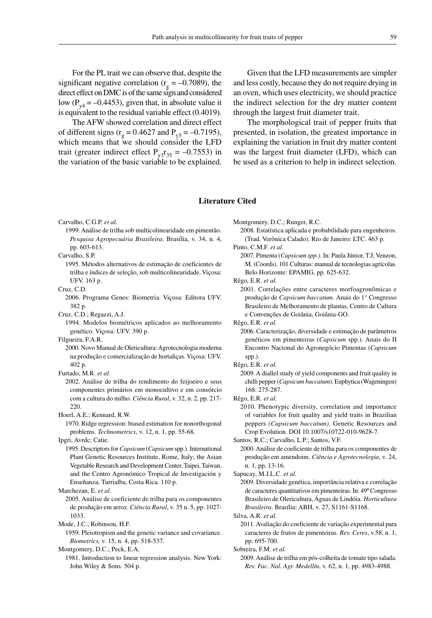For the PL trait we can observe that, despite the significant negative correlation ( $r<sub>g</sub> = -0.7089$ ), the direct effect on DMC is of the same sign and considered low ( $P_{v4} = -0.4453$ ), given that, in absolute value it is equivalent to the residual variable effect (0.4019).

The AFW showed correlation and direct effect of different signs ( $r_g = 0.4627$  and  $P_{v5} = -0.7195$ ), which means that we should consider the LFD trait (greater indirect effect  $P_{v3}r_{35} = -0.7553$ ) in the variation of the basic variable to be explained.

Given that the LFD measurements are simpler and less costly, because they do not require drying in an oven, which uses electricity, we should practice the indirect selection for the dry matter content through the largest fruit diameter trait.

The morphological trait of pepper fruits that presented, in isolation, the greatest importance in explaining the variation in fruit dry matter content was the largest fruit diameter (LFD), which can be used as a criterion to help in indirect selection.

## **Literature Cited**

Carvalho, C.G.P. *et al.*

1999. Análise de trilha sob multicolinearidade em pimentão. *Pesquisa Agropecuária Brasileira*. Brasília, v. 34, n. 4, pp. 603-613.

Carvalho, S.P.

1995. Métodos alternativos de estimação de coeficientes de trilha e índices de seleção, sob multicolinearidade. Viçosa: UFV. 163 p.

Cruz, C.D.

2006. Programa Genes: Biometria. Viçosa: Editora UFV. 382 p.

Cruz, C.D.; Regazzi, A.J.

1994. Modelos biométricos aplicados ao melhoramento genético. Viçosa: UFV. 390 p.

Filgueira, F.A.R.

2000. Novo Manual de Olericultura: Agrotecnologia moderna na produção e comercialização de hortaliças. Viçosa: UFV. 402 p.

Furtado, M.R. *et al.*

2002. Análise de trilha do rendimento do feijoeiro e seus componentes primários em monocultivo e em consórcio com a cultura do milho. *Ciência Rural*, v. 32, n. 2, pp. 217- 220.

Hoerl, A.E.; Kennard, R.W.

1970. Ridge regression: biased estimation for nonorthogonal problems. *Technometrics*, v. 12, n. 1, pp. 55-68.

Ipgri, Avrdc; Catie.

1995. Descriptors for *Capsicum* (*Capsicum* spp.). International Plant Genetic Resources Institute, Rome, Italy; the Asian Vegetable Research and Development Center, Taipei, Taiwan, and the Centro Agronómico Tropical de Investigación y Enseñanza, Turrialba, Costa Rica. 110 p.

Marchezan, E. *et al.*

2005. Análise de coeficiente de trilha para os componentes de produção em arroz. *Ciência Rural*, v. 35 n. 5, pp. 1027- 1033.

Mode, J.C.; Robinson, H.F.

1959. Pleiotropism and the genetic variance and covariance. *Biometrics,* v. 15, n. 4, pp. 518-537.

Montgomery, D.C.; Peck, E.A.

1981. Introduction to linear regression analysis. New York: John Wiley & Sons. 504 p.

Montgomery, D.C.; Runger, R.C.

2008. Estatística aplicada e probabilidade para engenheiros. (Trad. Verônica Calado). Rio de Janeiro: LTC. 463 p.

Pinto, C.M.F. *et al.*

2007. Pimenta (*Capsicum spp.)*. In: Paula Júnior, T.J; Venzon, M. (Coords). 101 Culturas: manual de tecnologias agrícolas. Belo Horizonte: EPAMIG, pp. 625-632.

Rêgo, E.R. *et al.*

2001. Correlações entre caracteres morfoagronômicas e produção de *Capsicum baccatum.* Anais do 1° Congresso Brasileiro de Melhoramento de plantas, Centro de Cultura e Convenções de Goiânia, Goiânia-GO.

Rêgo, E.R. *et al.*

- 2006. Caracterização, diversidade e estimação de parâmetros genéticos em pimenteiras (*Capsicum* spp.). Anais do II Encontro Nacional do Agronegócio Pimentas (*Capsicum*  sp<sub>p</sub>.).
- Rêgo, E.R. *et al.*
	- 2009. A diallel study of yield components and fruit quality in chilli pepper (*Capsicum baccatum*). Euphytica (Wageningen) 168: 275-287.
- Rêgo, E.R. *et al.*
	- 2010. Phenotypic diversity, correlation and importance of variables for fruit quality and yield traits in Brazilian peppers *(Capsicum baccatum)*. Genetic Resources and Crop Evolution. DOI 10.1007/s10722-010-9628-7.

Santos, R.C.; Carvalho, L.P.; Santos, V.F.

2000. Análise de coeficiente de trilha para os componentes de produção em amendoim. *Ciência e Agrotecnologia*, v. 24, n. 1, pp. 13-16.

Sapucay, M.J.L.C. *et al.*

2009. Diversidade genética, importância relativa e correlação de caracteres quantitativos em pimenteiras. In: 49º Congresso Brasileiro de Olericultura, Águas de Lindóia. *Horticultura Brasileira*. Brasília: ABH, v. 27, S1161-S1168.

Silva, A.R. *et al.*

2011. Avaliação do coeficiente de variação experimental para caracteres de frutos de pimenteiras. *Rev. Ceres*, v.58, n. 1, pp. 695-700.

Sobreira, F.M. *et al.*

2009. Análise de trilha em pós-colheita de tomate tipo salada. *Rev. Fac. Nal. Agr. Medellín*, v. 62, n. 1, pp. 4983-4988.